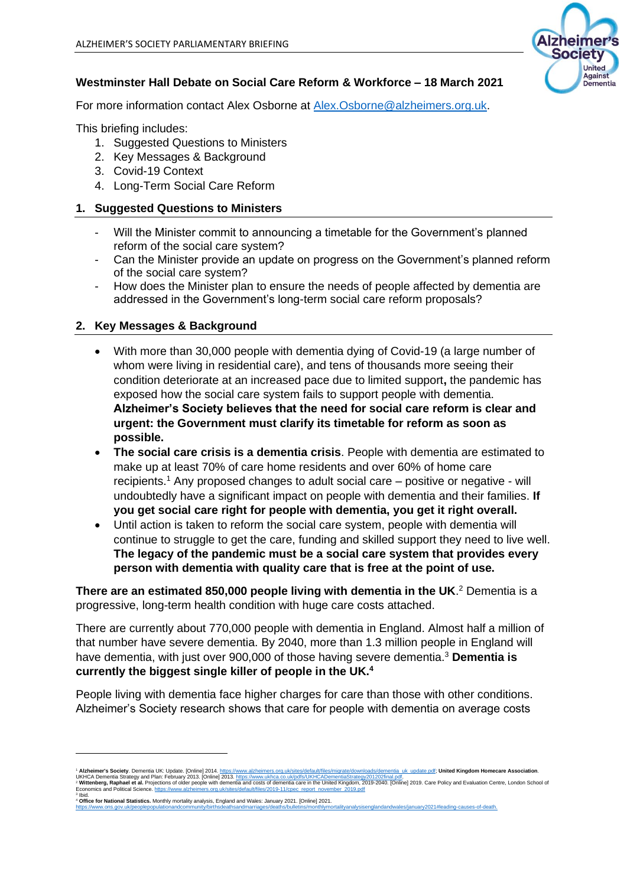

# **Westminster Hall Debate on Social Care Reform & Workforce – 18 March 2021**

For more information contact Alex Osborne at [Alex.Osborne@alzheimers.org.uk.](mailto:Alex.Osborne@alzheimers.org.uk)

This briefing includes:

- 1. Suggested Questions to Ministers
- 2. Key Messages & Background
- 3. Covid-19 Context
- 4. Long-Term Social Care Reform

# **1. Suggested Questions to Ministers**

- Will the Minister commit to announcing a timetable for the Government's planned reform of the social care system?
- Can the Minister provide an update on progress on the Government's planned reform of the social care system?
- How does the Minister plan to ensure the needs of people affected by dementia are addressed in the Government's long-term social care reform proposals?

# **2. Key Messages & Background**

- With more than 30,000 people with dementia dying of Covid-19 (a large number of whom were living in residential care), and tens of thousands more seeing their condition deteriorate at an increased pace due to limited support**,** the pandemic has exposed how the social care system fails to support people with dementia. **Alzheimer's Society believes that the need for social care reform is clear and urgent: the Government must clarify its timetable for reform as soon as possible.**
- **The social care crisis is a dementia crisis**. People with dementia are estimated to make up at least 70% of care home residents and over 60% of home care recipients.<sup>1</sup> Any proposed changes to adult social care – positive or negative - will undoubtedly have a significant impact on people with dementia and their families. **If you get social care right for people with dementia, you get it right overall.**
- Until action is taken to reform the social care system, people with dementia will continue to struggle to get the care, funding and skilled support they need to live well. **The legacy of the pandemic must be a social care system that provides every person with dementia with quality care that is free at the point of use.**

**There are an estimated 850,000 people living with dementia in the UK**. <sup>2</sup> Dementia is a progressive, long-term health condition with huge care costs attached.

There are currently about 770,000 people with dementia in England. Almost half a million of that number have severe dementia. By 2040, more than 1.3 million people in England will have dementia, with just over 900,000 of those having severe dementia.<sup>3</sup> **Dementia is currently the biggest single killer of people in the UK.<sup>4</sup>**

People living with dementia face higher charges for care than those with other conditions. Alzheimer's Society research shows that care for people with dementia on average costs

<sup>\*</sup> **Alzheimer's Society.** Dementia UK: Update. [Online] 2014. <u>https://www.alzheimers.org.uk/sites/default/files/migrate/downloads/dementia\_uk\_update.pdf; **United Kingdom Homecare Association.**<br>UKHCA Dementia Strategy and</u>

<sup>&</sup>lt;sup>3</sup> Ibid.<br>4 **Office for National Statistics.** Monthly mortality analysis, England and Wales: January 2021. [Online] 2021.

dandwales/ianuarv2021#leading-causes-of-death.